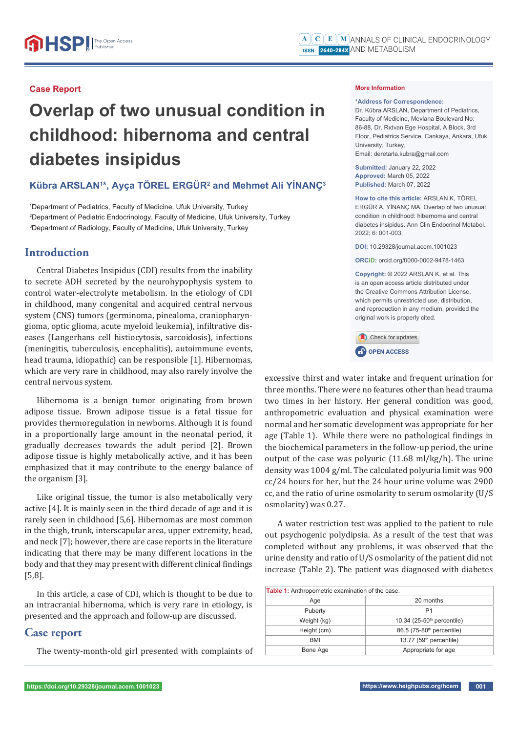#### **Case Report**

# **Overlap of two unusual condition in childhood: hibernoma and central diabetes insipidus**

### **Kübra ARSLAN1 \*, Ayça TÖREL ERGÜR2 and Mehmet Ali YİNANÇ3**

1 Department of Pediatrics, Faculty of Medicine, Ufuk University, Turkey 2 Department of Pediatric Endocrinology, Faculty of Medicine, Ufuk University, Turkey 3 Department of Radiology, Faculty of Medicine, Ufuk University, Turkey

# **Introduction**

Central Diabetes Insipidus (CDI) results from the inability to secrete ADH secreted by the neurohypophysis system to control water-electrolyte metabolism. In the etiology of CDI in childhood, many congenital and acquired central nervous system (CNS) tumors (germinoma, pinealoma, craniopharyngioma, optic glioma, acute myeloid leukemia), infiltrative diseases (Langerhans cell histiocytosis, sarcoidosis), infections (meningitis, tuberculosis, encephalitis), autoimmune events, head trauma, idiopathic) can be responsible [1]. Hibernomas, which are very rare in childhood, may also rarely involve the central nervous system.

Hibernoma is a benign tumor originating from brown adipose tissue. Brown adipose tissue is a fetal tissue for provides thermoregulation in newborns. Although it is found in a proportionally large amount in the neonatal period, it gradually decreases towards the adult period [2]. Brown adipose tissue is highly metabolically active, and it has been emphasized that it may contribute to the energy balance of the organism [3].

Like original tissue, the tumor is also metabolically very active [4]. It is mainly seen in the third decade of age and it is rarely seen in childhood [5,6]. Hibernomas are most common in the thigh, trunk, interscapular area, upper extremity, head, and neck [7]; however, there are case reports in the literature indicating that there may be many different locations in the body and that they may present with different clinical findings [5,8].

In this article, a case of CDI, which is thought to be due to an intracranial hibernoma, which is very rare in etiology, is presented and the approach and follow-up are discussed.

## **Case report**

The twenty-month-old girl presented with complaints of

#### **More Information**

#### **\*Address for Correspondence:**

Dr. Kübra ARSLAN, Department of Pediatrics, Faculty of Medicine, Mevlana Boulevard No: 86-88, Dr. Rıdvan Ege Hospital, A Block, 3rd Floor, Pediatrics Service, Cankaya, Ankara, Ufuk University, Turkey, Email: deretarla.kubra@gmail.com

**Submitted:** January 22, 2022 **Approved:** March 05, 2022 **Published:** March 07, 2022

**How to cite this article:** ARSLAN K, TÖREL ERGÜR A, YİNANÇ MA. Overlap of two unusual condition in childhood: hibernoma and central diabetes insipidus. Ann Clin Endocrinol Metabol. 2022; 6: 001-003.

**DOI:** 10.29328/journal.acem.1001023

**ORCiD:** orcid.org/0000-0002-9478-1463

**Copyright: ©** 2022 ARSLAN K, et al. This is an open access article distributed under the Creative Commons Attribution License, which permits unrestricted use, distribution, and reproduction in any medium, provided the original work is properly cited.



excessive thirst and water intake and frequent urination for three months. There were no features other than head trauma two times in her history. Her general condition was good, anthropometric evaluation and physical examination were normal and her somatic development was appropriate for her age (Table 1). While there were no pathological findings in the biochemical parameters in the follow-up period, the urine output of the case was polyuric (11.68 ml/kg/h). The urine density was 1004 g/ml. The calculated polyuria limit was 900 cc/24 hours for her, but the 24 hour urine volume was 2900 cc, and the ratio of urine osmolarity to serum osmolarity (U/S osmolarity) was 0.27.

A water restriction test was applied to the patient to rule out psychogenic polydipsia. As a result of the test that was completed without any problems, it was observed that the urine density and ratio of U/S osmolarity of the patient did not increase (Table 2). The patient was diagnosed with diabetes

| Table 1: Anthropometric examination of the case. |                                          |
|--------------------------------------------------|------------------------------------------|
| Age                                              | 20 months                                |
| Puberty                                          | P1                                       |
| Weight (kg)                                      | $10.34$ (25-50 <sup>th</sup> percentile) |
| Height (cm)                                      | 86.5 (75-80 <sup>th</sup> percentile)    |
| <b>BMI</b>                                       | 13.77 (59 <sup>th</sup> percentile)      |
| Bone Age                                         | Appropriate for age                      |
|                                                  |                                          |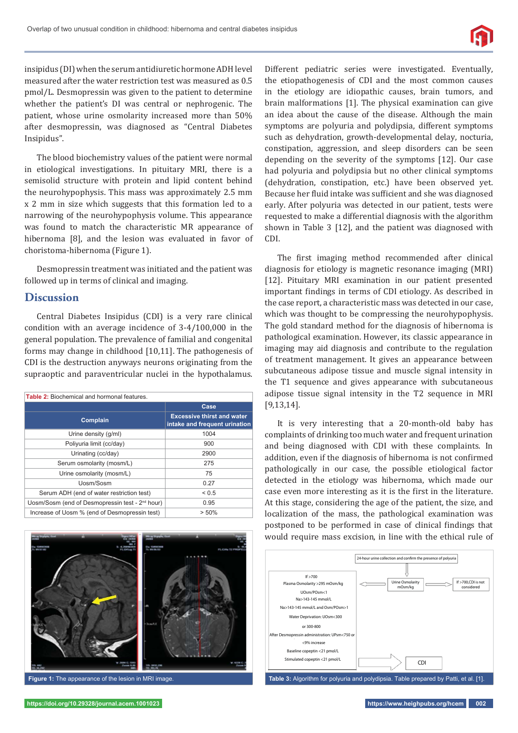

insipidus (DI) when the serum antidiuretic hormone ADH level measured after the water restriction test was measured as 0.5 pmol/L. Desmopressin was given to the patient to determine whether the patient's DI was central or nephrogenic. The patient, whose urine osmolarity increased more than 50% after desmopressin, was diagnosed as "Central Diabetes Insipidus".

The blood biochemistry values of the patient were normal in etiological investigations. In pituitary MRI, there is a semisolid structure with protein and lipid content behind the neurohypophysis. This mass was approximately 2.5 mm x 2 mm in size which suggests that this formation led to a narrowing of the neurohypophysis volume. This appearance was found to match the characteristic MR appearance of hibernoma [8], and the lesion was evaluated in favor of choristoma-hibernoma (Figure 1).

Desmopressin treatment was initiated and the patient was followed up in terms of clinical and imaging.

#### **Discussion**

Central Diabetes Insipidus (CDI) is a very rare clinical condition with an average incidence of 3-4/100,000 in the general population. The prevalence of familial and congenital forms may change in childhood [10,11]. The pathogenesis of CDI is the destruction anyways neurons originating from the supraoptic and paraventricular nuclei in the hypothalamus.

| <b>Table 2:</b> Biochemical and hormonal features.          |                                                                    |  |
|-------------------------------------------------------------|--------------------------------------------------------------------|--|
|                                                             | Case                                                               |  |
| Complain                                                    | <b>Excessive thirst and water</b><br>intake and frequent urination |  |
| Urine density (g/ml)                                        | 1004                                                               |  |
| Poliyuria limit (cc/day)                                    | 900                                                                |  |
| Urinating (cc/day)                                          | 2900                                                               |  |
| Serum osmolarity (mosm/L)                                   | 275                                                                |  |
| Urine osmolarity (mosm/L)                                   | 75                                                                 |  |
| Uosm/Sosm                                                   | 0.27                                                               |  |
| Serum ADH (end of water restriction test)                   | ${}_{0.5}$                                                         |  |
| Uosm/Sosm (end of Desmopressin test - 2 <sup>nd</sup> hour) | 0.95                                                               |  |
| Increase of Uosm % (end of Desmopressin test)               | $> 50\%$                                                           |  |



**Figure 1:** The appearance of the lesion in MRI image.

Different pediatric series were investigated. Eventually, the etiopathogenesis of CDI and the most common causes in the etiology are idiopathic causes, brain tumors, and brain malformations [1]. The physical examination can give an idea about the cause of the disease. Although the main symptoms are polyuria and polydipsia, different symptoms such as dehydration, growth-developmental delay, nocturia, constipation, aggression, and sleep disorders can be seen depending on the severity of the symptoms [12]. Our case had polyuria and polydipsia but no other clinical symptoms (dehydration, constipation, etc.) have been observed yet. Because her fluid intake was sufficient and she was diagnosed early. After polyuria was detected in our patient, tests were requested to make a differential diagnosis with the algorithm shown in Table 3 [12], and the patient was diagnosed with CDI.

The first imaging method recommended after clinical diagnosis for etiology is magnetic resonance imaging (MRI) [12]. Pituitary MRI examination in our patient presented important findings in terms of CDI etiology. As described in the case report, a characteristic mass was detected in our case, which was thought to be compressing the neurohypophysis. The gold standard method for the diagnosis of hibernoma is pathological examination. However, its classic appearance in imaging may aid diagnosis and contribute to the regulation of treatment management. It gives an appearance between subcutaneous adipose tissue and muscle signal intensity in the T1 sequence and gives appearance with subcutaneous adipose tissue signal intensity in the T2 sequence in MRI [9,13,14].

It is very interesting that a 20-month-old baby has complaints of drinking too much water and frequent urination and being diagnosed with CDI with these complaints. In addition, even if the diagnosis of hibernoma is not confirmed pathologically in our case, the possible etiological factor detected in the etiology was hibernoma, which made our case even more interesting as it is the first in the literature. At this stage, considering the age of the patient, the size, and localization of the mass, the pathological examination was postponed to be performed in case of clinical findings that would require mass excision, in line with the ethical rule of